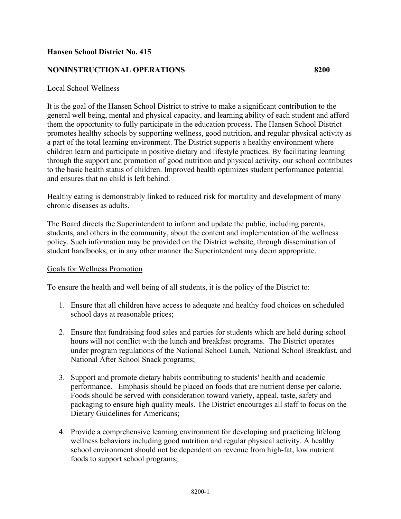## **Hansen School District No. 415**

### **NONINSTRUCTIONAL OPERATIONS 8200**

## Local School Wellness

It is the goal of the Hansen School District to strive to make a significant contribution to the general well being, mental and physical capacity, and learning ability of each student and afford them the opportunity to fully participate in the education process. The Hansen School District promotes healthy schools by supporting wellness, good nutrition, and regular physical activity as a part of the total learning environment. The District supports a healthy environment where children learn and participate in positive dietary and lifestyle practices. By facilitating learning through the support and promotion of good nutrition and physical activity, our school contributes to the basic health status of children. Improved health optimizes student performance potential and ensures that no child is left behind.

Healthy eating is demonstrably linked to reduced risk for mortality and development of many chronic diseases as adults.

The Board directs the Superintendent to inform and update the public, including parents, students, and others in the community, about the content and implementation of the wellness policy. Such information may be provided on the District website, through dissemination of student handbooks, or in any other manner the Superintendent may deem appropriate.

#### Goals for Wellness Promotion

To ensure the health and well being of all students, it is the policy of the District to:

- 1. Ensure that all children have access to adequate and healthy food choices on scheduled school days at reasonable prices;
- 2. Ensure that fundraising food sales and parties for students which are held during school hours will not conflict with the lunch and breakfast programs. The District operates under program regulations of the National School Lunch, National School Breakfast, and National After School Snack programs;
- 3. Support and promote dietary habits contributing to students' health and academic performance. Emphasis should be placed on foods that are nutrient dense per calorie. Foods should be served with consideration toward variety, appeal, taste, safety and packaging to ensure high quality meals. The District encourages all staff to focus on the Dietary Guidelines for Americans;
- 4. Provide a comprehensive learning environment for developing and practicing lifelong wellness behaviors including good nutrition and regular physical activity. A healthy school environment should not be dependent on revenue from high-fat, low nutrient foods to support school programs;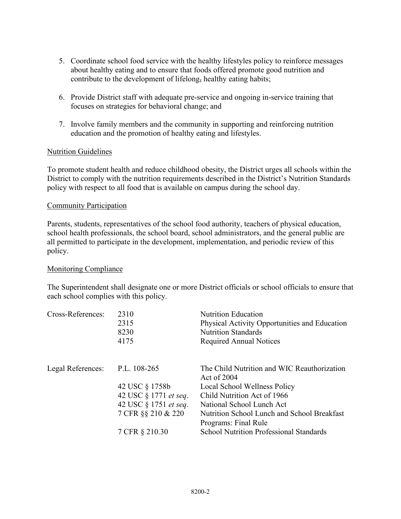- 5. Coordinate school food service with the healthy lifestyles policy to reinforce messages about healthy eating and to ensure that foods offered promote good nutrition and contribute to the development of lifelong, healthy eating habits;
- 6. Provide District staff with adequate pre-service and ongoing in-service training that focuses on strategies for behavioral change; and
- 7. Involve family members and the community in supporting and reinforcing nutrition education and the promotion of healthy eating and lifestyles.

## Nutrition Guidelines

To promote student health and reduce childhood obesity, the District urges all schools within the District to comply with the nutrition requirements described in the District's Nutrition Standards policy with respect to all food that is available on campus during the school day.

#### Community Participation

Parents, students, representatives of the school food authority, teachers of physical education, school health professionals, the school board, school administrators, and the general public are all permitted to participate in the development, implementation, and periodic review of this policy.

#### Monitoring Compliance

The Superintendent shall designate one or more District officials or school officials to ensure that each school complies with this policy.

| Cross-References: | 2310<br>2315<br>8230<br>4175                                                                                                    | <b>Nutrition Education</b><br>Physical Activity Opportunities and Education<br><b>Nutrition Standards</b><br><b>Required Annual Notices</b>                                                                                                                                       |
|-------------------|---------------------------------------------------------------------------------------------------------------------------------|-----------------------------------------------------------------------------------------------------------------------------------------------------------------------------------------------------------------------------------------------------------------------------------|
| Legal References: | P.L. 108-265<br>42 USC § 1758b<br>42 USC § 1771 et seq.<br>42 USC § 1751 <i>et seq.</i><br>7 CFR §§ 210 & 220<br>7 CFR § 210.30 | The Child Nutrition and WIC Reauthorization<br>Act of $2004$<br>Local School Wellness Policy<br>Child Nutrition Act of 1966<br>National School Lunch Act<br>Nutrition School Lunch and School Breakfast<br>Programs: Final Rule<br><b>School Nutrition Professional Standards</b> |